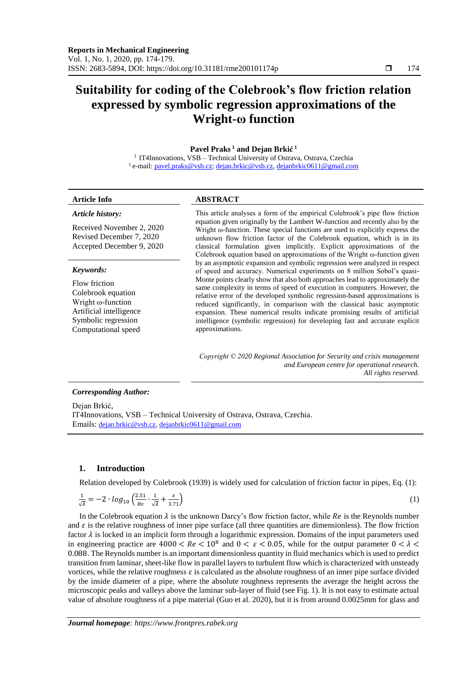# **Suitability for coding of the Colebrook's flow friction relation expressed by symbolic regression approximations of the Wright-ω function**

# **Pavel Praks <sup>1</sup> and Dejan Brkić 1**

<sup>1</sup> IT4Innovations, VSB - Technical University of Ostrava, Ostrava, Czechia <sup>1</sup> e-mail: <u>pavel.praks@vsb.cz; [dejan.brkic@vsb.cz,](mailto:dejan.brkic@vsb.cz) [dejanbrkic0611@gmail.com](mailto:dejanbrkic0611@gmail.com)</u>

#### *Article history:*

Received November 2, 2020 Revised December 7, 2020 Accepted December 9, 2020

#### *Keywords:*

Flow friction Colebrook equation Wright ω-function Artificial intelligence Symbolic regression Computational speed

# **Article Info ABSTRACT**

This article analyses a form of the empirical Colebrook's pipe flow friction equation given originally by the Lambert W-function and recently also by the Wright ω-function. These special functions are used to explicitly express the unknown flow friction factor of the Colebrook equation, which is in its classical formulation given implicitly. Explicit approximations of the Colebrook equation based on approximations of the Wright ω-function given by an asymptotic expansion and symbolic regression were analyzed in respect of speed and accuracy. Numerical experiments on 8 million Sobol's quasi-Monte points clearly show that also both approaches lead to approximately the same complexity in terms of speed of execution in computers. However, the relative error of the developed symbolic regression-based approximations is reduced significantly, in comparison with the classical basic asymptotic expansion. These numerical results indicate promising results of artificial intelligence (symbolic regression) for developing fast and accurate explicit approximations.

*Copyright © 2020 Regional Association for Security and crisis management and European centre for operational research. All rights reserved.*

#### *Corresponding Author:*

Dejan Brkić, IT4Innovations, VSB – Technical University of Ostrava, Ostrava, Czechia. Emails: [dejan.brkic@vsb.cz,](mailto:dejan.brkic@vsb.cz) [dejanbrkic0611@gmail.com](mailto:dejanbrkic0611@gmail.com)

## **1. Introduction**

Relation developed by Colebrook (1939) is widely used for calculation of friction factor in pipes, Eq. (1):

$$
\frac{1}{\sqrt{\lambda}} = -2 \cdot \log_{10} \left( \frac{2.51}{Re} \cdot \frac{1}{\sqrt{\lambda}} + \frac{\varepsilon}{3.71} \right) \tag{1}
$$

In the Colebrook equation  $\lambda$  is the unknown Darcy's flow friction factor, while Re is the Reynolds number and  $\varepsilon$  is the relative roughness of inner pipe surface (all three quantities are dimensionless). The flow friction factor  $\lambda$  is locked in an implicit form through a logarithmic expression. Domains of the input parameters used in engineering practice are  $4000 < Re < 10^8$  and  $0 < \varepsilon < 0.05$ , while for the output parameter  $0 < \lambda <$ 0.088. The Reynolds number is an important dimensionless quantity in fluid mechanics which is used to predict transition from laminar, sheet-like flow in parallel layers to turbulent flow which is characterized with unsteady vortices, while the relative roughness  $\varepsilon$  is calculated as the absolute roughness of an inner pipe surface divided by the inside diameter of a pipe, where the absolute roughness represents the average the height across the microscopic peaks and valleys above the laminar sub-layer of fluid (see Fig. 1). It is not easy to estimate actual value of absolute roughness of a pipe material (Guo et al. 2020), but it is from around 0.0025mm for glass and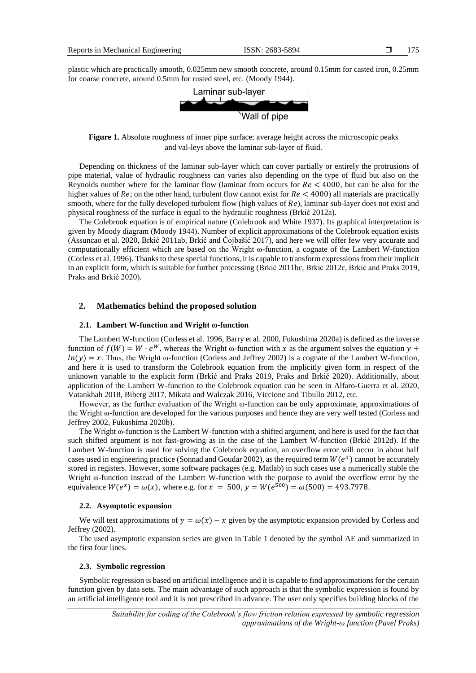plastic which are practically smooth, 0.025mm new smooth concrete, around 0.15mm for casted iron, 0.25mm for coarse concrete, around 0.5mm for rusted steel, etc. (Moody 1944).



**Figure 1.** Absolute roughness of inner pipe surface: average height across the microscopic peaks and val-leys above the laminar sub-layer of fluid.

Depending on thickness of the laminar sub-layer which can cover partially or entirely the protrusions of pipe material, value of hydraulic roughness can varies also depending on the type of fluid but also on the Reynolds number where for the laminar flow (laminar from occurs for  $Re < 4000$ , but can be also for the higher values of  $Re$ ; on the other hand, turbulent flow cannot exist for  $Re < 4000$ ) all materials are practically smooth, where for the fully developed turbulent flow (high values of  $Re$ ), laminar sub-layer does not exist and physical roughness of the surface is equal to the hydraulic roughness (Brkić 2012a).

The Colebrook equation is of empirical nature (Colebrook and White 1937). Its graphical interpretation is given by Moody diagram (Moody 1944). Number of explicit approximations of the Colebrook equation exists (Assuncao et al. 2020, Brkić 2011ab, Brkić and Ćojbašić 2017), and here we will offer few very accurate and computationally efficient which are based on the Wright ω-function, a cognate of the Lambert W-function (Corless et al. 1996). Thanks to these special functions, it is capable to transform expressions from their implicit in an explicit form, which is suitable for further processing (Brkić 2011bc, Brkić 2012c, Brkić and Praks 2019, Praks and Brkić 2020).

#### **2. Mathematics behind the proposed solution**

#### **2.1. Lambert W-function and Wright ω-function**

The Lambert W-function (Corless et al. 1996, Barry et al. 2000, Fukushima 2020a) is defined as the inverse function of  $f(W) = W \cdot e^W$ , whereas the Wright ω-function with x as the argument solves the equation y +  $ln(y) = x$ . Thus, the Wright ω-function (Corless and Jeffrey 2002) is a cognate of the Lambert W-function, and here it is used to transform the Colebrook equation from the implicitly given form in respect of the unknown variable to the explicit form (Brkić and Praks 2019, Praks and Brkić 2020). Additionally, about application of the Lambert W-function to the Colebrook equation can be seen in Alfaro-Guerra et al. 2020, Vatankhah 2018, Biberg 2017, Mikata and Walczak 2016, Viccione and Tibullo 2012, etc.

However, as the further evaluation of the Wright ω-function can be only approximate, approximations of the Wright ω-function are developed for the various purposes and hence they are very well tested (Corless and Jeffrey 2002, Fukushima 2020b).

The Wright ω-function is the Lambert W-function with a shifted argument, and here is used for the fact that such shifted argument is not fast-growing as in the case of the Lambert W-function (Brkić 2012d). If the Lambert W-function is used for solving the Colebrook equation, an overflow error will occur in about half cases used in engineering practice (Sonnad and Goudar 2002), as the required term  $W(e^x)$  cannot be accurately stored in registers. However, some software packages (e.g. Matlab) in such cases use a numerically stable the Wright ω-function instead of the Lambert W-function with the purpose to avoid the overflow error by the equivalence  $W(e^{x}) = \omega(x)$ , where e.g. for  $x = 500$ ,  $y = W(e^{500}) = \omega(500) = 493.7978$ .

### **2.2. Asymptotic expansion**

We will test approximations of  $y = \omega(x) - x$  given by the asymptotic expansion provided by Corless and Jeffrey (2002).

The used asymptotic expansion series are given in Table 1 denoted by the symbol AE and summarized in the first four lines.

#### **2.3. Symbolic regression**

Symbolic regression is based on artificial intelligence and it is capable to find approximations for the certain function given by data sets. The main advantage of such approach is that the symbolic expression is found by an artificial intelligence tool and it is not prescribed in advance. The user only specifies building blocks of the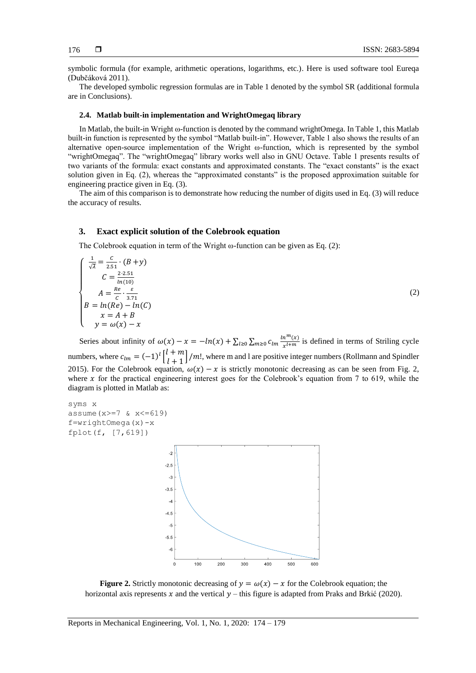symbolic formula (for example, arithmetic operations, logarithms, etc.). Here is used software tool Eureqa (Dubčáková 2011).

The developed symbolic regression formulas are in Table 1 denoted by the symbol SR (additional formula are in Conclusions).

#### **2.4. Matlab built-in implementation and WrightOmegaq library**

In Matlab, the built-in Wright ω-function is denoted by the command wrightOmega. In Table 1, this Matlab built-in function is represented by the symbol "Matlab built-in". However, Table 1 also shows the results of an alternative open-source implementation of the Wright  $\omega$ -function, which is represented by the symbol "wrightOmegaq". The "wrightOmegaq" library works well also in GNU Octave. Table 1 presents results of two variants of the formula: exact constants and approximated constants. The "exact constants" is the exact solution given in Eq. (2), whereas the "approximated constants" is the proposed approximation suitable for engineering practice given in Eq. (3).

The aim of this comparison is to demonstrate how reducing the number of digits used in Eq. (3) will reduce the accuracy of results.

#### **3. Exact explicit solution of the Colebrook equation**

The Colebrook equation in term of the Wright  $\omega$ -function can be given as Eq. (2):

$$
\begin{cases}\n\frac{1}{\sqrt{\lambda}} = \frac{c}{2.51} \cdot (B + y) \\
C = \frac{2 \cdot 2.51}{\ln(10)} \\
A = \frac{Re}{c} \cdot \frac{\varepsilon}{3.71} \\
B = \ln(Re) - \ln(C) \\
x = A + B \\
y = \omega(x) - x\n\end{cases}
$$
\n(2)

Series about infinity of  $\omega(x) - x = -\ln(x) + \sum_{l \geq 0} \sum_{m \geq 0} c_{lm} \frac{\ln^m(x)}{x^{l+m}}$  $_{l\geq0}\sum_{m\geq0}c_{lm}\frac{m(\lambda)}{x^{l+m}}$  is defined in terms of Striling cycle numbers, where  $c_{lm} = (-1)^l \begin{bmatrix} l+m \\ l+1 \end{bmatrix}$  $\left[\frac{1}{l+1}\right]$ /m!, where m and l are positive integer numbers (Rollmann and Spindler 2015). For the Colebrook equation,  $\omega(x) - x$  is strictly monotonic decreasing as can be seen from Fig. 2, where  $x$  for the practical engineering interest goes for the Colebrook's equation from 7 to 619, while the diagram is plotted in Matlab as:

syms x assume  $(x)=7$  &  $x<=619$ ) f=wrightOmega(x)-x fplot(f, [7,619])



**Figure 2.** Strictly monotonic decreasing of  $y = \omega(x) - x$  for the Colebrook equation; the horizontal axis represents  $x$  and the vertical  $y$  – this figure is adapted from Praks and Brkić (2020).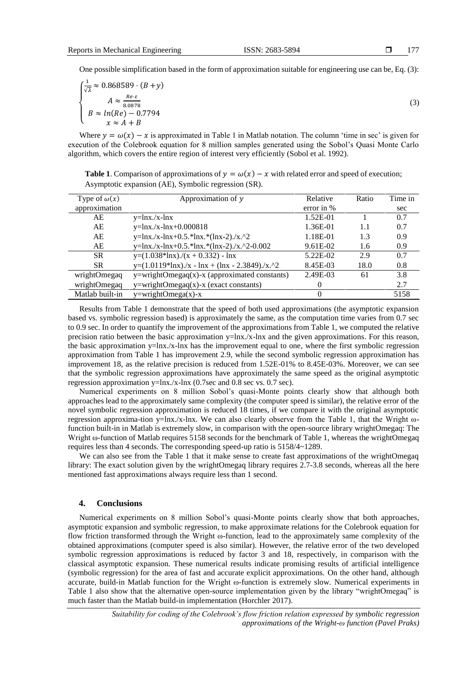One possible simplification based in the form of approximation suitable for engineering use can be, Eq. (3):

$$
\begin{cases}\n\frac{1}{\sqrt{\lambda}} \approx 0.868589 \cdot (B + y) \\
A \approx \frac{Re \cdot \varepsilon}{8.0878} \\
B \approx \ln(Re) - 0.7794 \\
x \approx A + B\n\end{cases}
$$
\n(3)

Where  $y = \omega(x) - x$  is approximated in Table 1 in Matlab notation. The column 'time in sec' is given for execution of the Colebrook equation for 8 million samples generated using the Sobol's Quasi Monte Carlo algorithm, which covers the entire region of interest very efficiently (Sobol et al. 1992).

**Table 1**. Comparison of approximations of  $y = \omega(x) - x$  with related error and speed of execution; Asymptotic expansion (AE), Symbolic regression (SR).

| Type of $\omega(x)$ | Approximation of $y$                                 | Relative          | Ratio | Time in |
|---------------------|------------------------------------------------------|-------------------|-------|---------|
| approximation       |                                                      | error in $%$      |       | sec     |
| AE                  | $y=lnx./x-lnx$                                       | 1.52E-01          |       | 0.7     |
| AE                  | $y=ln x.x-ln x+0.000818$                             | 1.36E-01          | 1.1   | 0.7     |
| AE                  | $y=lnx./x-lnx+0.5.*lnx.*(lnx-2./x.^2)$               | 1.18E-01          | 1.3   | 0.9     |
| AE                  | $y=lnx. /x-lnx+0.5.*lnx.*(lnx-2). /x.^2-0.002$       | 9.61E-02          | 1.6   | 0.9     |
| <b>SR</b>           | $y=(1.038*ln x)/(x + 0.332) - ln x$                  | 5.22E-02          | 2.9   | 0.7     |
| <b>SR</b>           | $y=(1.0119*lnx).$ /x - $lnx + (lnx - 2.3849).$ /x.^2 | 8.45E-03          | 18.0  | 0.8     |
| wrightOmegaq        | y=wrightOmegaq(x)-x (approximated constants)         | 2.49E-03          | 61    | 3.8     |
| wrightOmegaq        | $y=$ wrightOmegaq $(x)$ -x (exact constants)         | $\mathbf{\Omega}$ |       | 2.7     |
| Matlab built-in     | $y=$ wrightOmega $(x)$ -x                            | 0                 |       | 5158    |
|                     |                                                      |                   |       |         |

Results from Table 1 demonstrate that the speed of both used approximations (the asymptotic expansion based vs. symbolic regression based) is approximately the same, as the computation time varies from 0.7 sec to 0.9 sec. In order to quantify the improvement of the approximations from Table 1, we computed the relative precision ratio between the basic approximation  $y=lnx/x-lnx$  and the given approximations. For this reason, the basic approximation y=lnx./x-lnx has the improvement equal to one, where the first symbolic regression approximation from Table 1 has improvement 2.9, while the second symbolic regression approximation has improvement 18, as the relative precision is reduced from 1.52E-01% to 8.45E-03%. Moreover, we can see that the symbolic regression approximations have approximately the same speed as the original asymptotic regression approximation  $y=lnx.x-lnx$  (0.7sec and 0.8 sec vs. 0.7 sec).

Numerical experiments on 8 million Sobol's quasi-Monte points clearly show that although both approaches lead to the approximately same complexity (the computer speed is similar), the relative error of the novel symbolic regression approximation is reduced 18 times, if we compare it with the original asymptotic regression approxima-tion y=lnx./x-lnx. We can also clearly observe from the Table 1, that the Wright ωfunction built-in in Matlab is extremely slow, in comparison with the open-source library wrightOmegaq: The Wright ω-function of Matlab requires 5158 seconds for the benchmark of Table 1, whereas the wrightOmegaq requires less than 4 seconds. The corresponding speed-up ratio is 5158/4~1289.

We can also see from the Table 1 that it make sense to create fast approximations of the wrightOmegaq library: The exact solution given by the wrightOmegaq library requires 2.7-3.8 seconds, whereas all the here mentioned fast approximations always require less than 1 second.

### **4. Conclusions**

Numerical experiments on 8 million Sobol's quasi-Monte points clearly show that both approaches, asymptotic expansion and symbolic regression, to make approximate relations for the Colebrook equation for flow friction transformed through the Wright ω-function, lead to the approximately same complexity of the obtained approximations (computer speed is also similar). However, the relative error of the two developed symbolic regression approximations is reduced by factor 3 and 18, respectively, in comparison with the classical asymptotic expansion. These numerical results indicate promising results of artificial intelligence (symbolic regression) for the area of fast and accurate explicit approximations. On the other hand, although accurate, build-in Matlab function for the Wright ω-function is extremely slow. Numerical experiments in Table 1 also show that the alternative open-source implementation given by the library "wrightOmegaq" is much faster than the Matlab build-in implementation (Horchler 2017).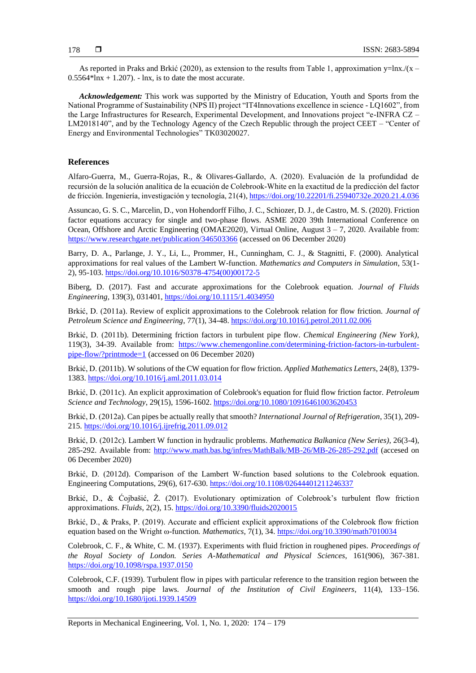As reported in Praks and Brkić (2020), as extension to the results from Table 1, approximation y=lnx./(x –  $0.5564*lnx + 1.207$ . - lnx, is to date the most accurate.

*Acknowledgement:* This work was supported by the Ministry of Education, Youth and Sports from the National Programme of Sustainability (NPS II) project "IT4Innovations excellence in science - LQ1602", from the Large Infrastructures for Research, Experimental Development, and Innovations project "e-INFRA CZ – LM2018140", and by the Technology Agency of the Czech Republic through the project CEET – "Center of Energy and Environmental Technologies" TK03020027.

# **References**

Alfaro-Guerra, M., Guerra-Rojas, R., & Olivares-Gallardo, A. (2020). Evaluación de la profundidad de recursión de la solución analítica de la ecuación de Colebrook-White en la exactitud de la predicción del factor de fricción. Ingeniería, investigación y tecnología, 21(4)[, https://doi.org/10.22201/fi.25940732e.2020.21.4.036](https://doi.org/10.22201/fi.25940732e.2020.21.4.036)

Assuncao, G. S. C., Marcelin, D., von Hohendorff Filho, J. C., Schiozer, D. J., de Castro, M. S. (2020). Friction factor equations accuracy for single and two-phase flows. ASME 2020 39th International Conference on Ocean, Offshore and Arctic Engineering (OMAE2020), Virtual Online, August 3 – 7, 2020. Available from: <https://www.researchgate.net/publication/346503366> (accessed on 06 December 2020)

Barry, D. A., Parlange, J. Y., Li, L., Prommer, H., Cunningham, C. J., & Stagnitti, F. (2000). Analytical approximations for real values of the Lambert W-function. *Mathematics and Computers in Simulation*, 53(1- 2), 95-103[. https://doi.org/10.1016/S0378-4754\(00\)00172-5](https://doi.org/10.1016/S0378-4754(00)00172-5)

Biberg, D. (2017). Fast and accurate approximations for the Colebrook equation. *Journal of Fluids Engineering,* 139(3), 031401,<https://doi.org/10.1115/1.4034950>

Brkić, D. (2011a). Review of explicit approximations to the Colebrook relation for flow friction. *Journal of Petroleum Science and Engineering*, 77(1), 34-48. <https://doi.org/10.1016/j.petrol.2011.02.006>

Brkić, D. (2011b). Determining friction factors in turbulent pipe flow. *Chemical Engineering (New York)*, 119(3), 34-39. Available from: [https://www.chemengonline.com/determining-friction-factors-in-turbulent](https://www.chemengonline.com/determining-friction-factors-in-turbulent-pipe-flow/?printmode=1)[pipe-flow/?printmode=1](https://www.chemengonline.com/determining-friction-factors-in-turbulent-pipe-flow/?printmode=1) (accessed on 06 December 2020)

Brkić, D. (2011b). W solutions of the CW equation for flow friction. *Applied Mathematics Letters*, 24(8), 1379- 1383. <https://doi.org/10.1016/j.aml.2011.03.014>

Brkić, D. (2011c). An explicit approximation of Colebrook's equation for fluid flow friction factor. *Petroleum Science and Technology*, 29(15), 1596-1602. <https://doi.org/10.1080/10916461003620453>

Brkić, D. (2012a). Can pipes be actually really that smooth? *International Journal of Refrigeration*, 35(1), 209- 215.<https://doi.org/10.1016/j.ijrefrig.2011.09.012>

Brkić, D. (2012c). Lambert W function in hydraulic problems. *Mathematica Balkanica (New Series)*, 26(3-4), 285-292. Available from: <http://www.math.bas.bg/infres/MathBalk/MB-26/MB-26-285-292.pdf> (accesed on 06 December 2020)

Brkić, D. (2012d). Comparison of the Lambert W-function based solutions to the Colebrook equation. Engineering Computations, 29(6), 617-630[. https://doi.org/10.1108/02644401211246337](https://doi.org/10.1108/02644401211246337)

Brkić, D., & Ćojbašić, Ž. (2017). Evolutionary optimization of Colebrook's turbulent flow friction approximations. *Fluids*, 2(2), 15.<https://doi.org/10.3390/fluids2020015>

Brkić, D., & Praks, P. (2019). Accurate and efficient explicit approximations of the Colebrook flow friction equation based on the Wright ω-function*. Mathematics*, 7(1), 34.<https://doi.org/10.3390/math7010034>

Colebrook, C. F., & White, C. M. (1937). Experiments with fluid friction in roughened pipes. *Proceedings of the Royal Society of London. Series A-Mathematical and Physical Sciences*, 161(906), 367-381. <https://doi.org/10.1098/rspa.1937.0150>

Colebrook, C.F. (1939). Turbulent flow in pipes with particular reference to the transition region between the smooth and rough pipe laws. *Journal of the Institution of Civil Engineers*, 11(4), 133–156. <https://doi.org/10.1680/ijoti.1939.14509>